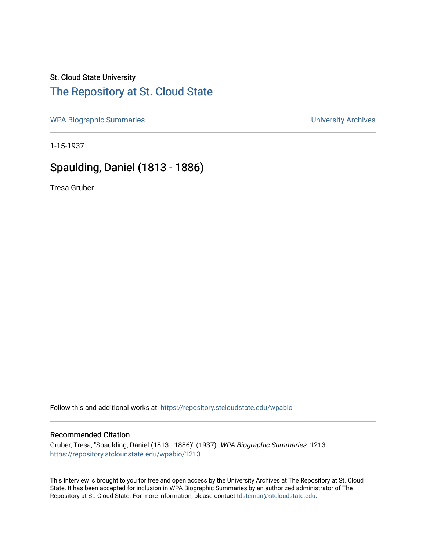### St. Cloud State University

## [The Repository at St. Cloud State](https://repository.stcloudstate.edu/)

[WPA Biographic Summaries](https://repository.stcloudstate.edu/wpabio) **WPA Biographic Summaries University Archives** 

1-15-1937

# Spaulding, Daniel (1813 - 1886)

Tresa Gruber

Follow this and additional works at: [https://repository.stcloudstate.edu/wpabio](https://repository.stcloudstate.edu/wpabio?utm_source=repository.stcloudstate.edu%2Fwpabio%2F1213&utm_medium=PDF&utm_campaign=PDFCoverPages) 

#### Recommended Citation

Gruber, Tresa, "Spaulding, Daniel (1813 - 1886)" (1937). WPA Biographic Summaries. 1213. [https://repository.stcloudstate.edu/wpabio/1213](https://repository.stcloudstate.edu/wpabio/1213?utm_source=repository.stcloudstate.edu%2Fwpabio%2F1213&utm_medium=PDF&utm_campaign=PDFCoverPages) 

This Interview is brought to you for free and open access by the University Archives at The Repository at St. Cloud State. It has been accepted for inclusion in WPA Biographic Summaries by an authorized administrator of The Repository at St. Cloud State. For more information, please contact [tdsteman@stcloudstate.edu.](mailto:tdsteman@stcloudstate.edu)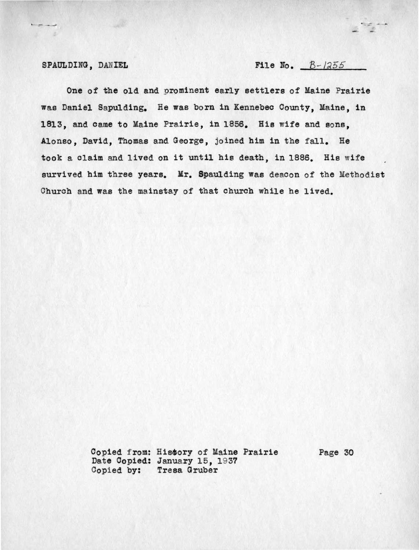SPAULDING, DANIEL File No.  $B-1255$ 

 $\frac{1}{\sigma} \frac{1}{\sigma} \frac{1}{\sigma} = -\frac{1}{\sigma}$ 

One of the old and prominent early settlers of Maine Prairie was Daniel Sapulding. He was born in Kennebec County, Maine, in 1813, and came to Maine Prairie, in 1856. His wife and sons. Alonso, David, Thomas and George, joined him in the fall. He took a claim and lived on it until his death, in 1886. His wife survived him three years. Mr. Spaulding was deacon of the Methodist Church and was the mainstay of that church while he lived.

> Copied from: History of Maine Prairie Page 30 Date Copied: January 15, 1937 Copied by: Tresa Gruber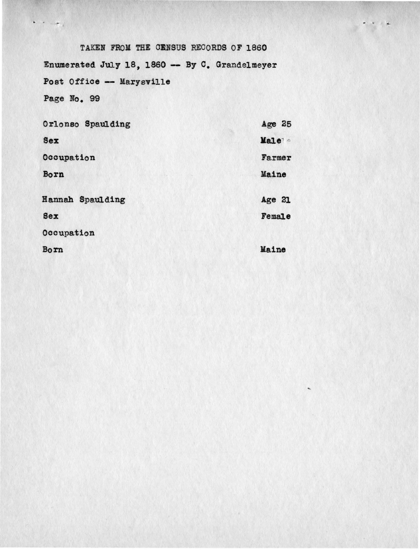TAKEN FROM THE CENSUS RECORDS OF 1860 Enumerated July 18, 1860 -- By C. Grandelmeyer Post Office -- Marysville Page No. 99

| Orlonso Spaulding | Age 25 |
|-------------------|--------|
| <b>Sex</b>        | Male   |
| Occupation        | Farmer |
| Born              | Maine  |
| Hannah Spaulding  | Age 21 |
| <b>Sex</b>        | Female |
| Occupation        |        |
| Born              | Maine  |